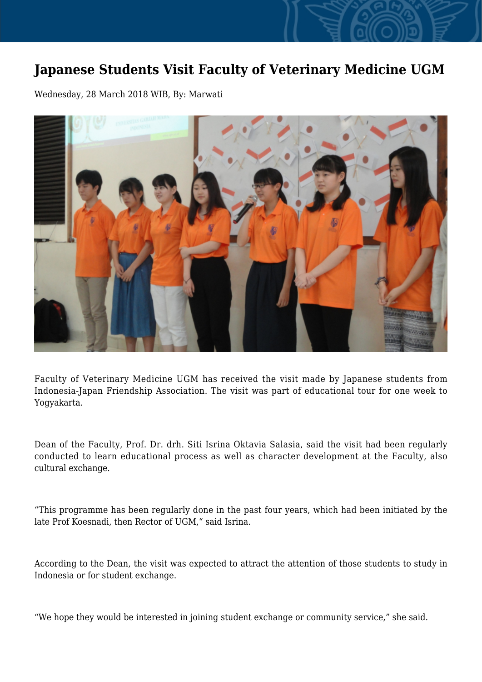## **Japanese Students Visit Faculty of Veterinary Medicine UGM**

Wednesday, 28 March 2018 WIB, By: Marwati



Faculty of Veterinary Medicine UGM has received the visit made by Japanese students from Indonesia-Japan Friendship Association. The visit was part of educational tour for one week to Yogyakarta.

Dean of the Faculty, Prof. Dr. drh. Siti Isrina Oktavia Salasia, said the visit had been regularly conducted to learn educational process as well as character development at the Faculty, also cultural exchange.

"This programme has been regularly done in the past four years, which had been initiated by the late Prof Koesnadi, then Rector of UGM," said Isrina.

According to the Dean, the visit was expected to attract the attention of those students to study in Indonesia or for student exchange.

"We hope they would be interested in joining student exchange or community service," she said.